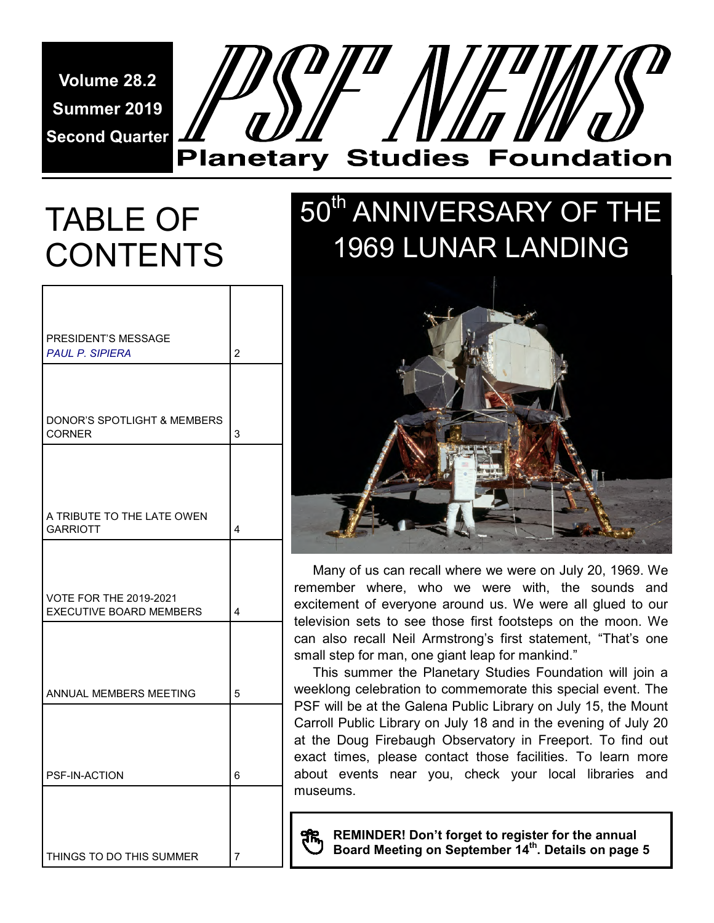**Volume 28.2 Summer 2019 Second Quarter** 

# **Planetary Studies Foundation**

# TABLE OF CONTENTS

| PRESIDENT'S MESSAGE<br><b>PAUL P. SIPIERA</b>                   | $\overline{2}$          |
|-----------------------------------------------------------------|-------------------------|
| DONOR'S SPOTLIGHT & MEMBERS<br><b>CORNER</b>                    | 3                       |
|                                                                 |                         |
| A TRIBUTE TO THE LATE OWEN<br><b>GARRIOTT</b>                   | $\overline{\mathbf{4}}$ |
| <b>VOTE FOR THE 2019-2021</b><br><b>EXECUTIVE BOARD MEMBERS</b> | $\overline{\mathbf{A}}$ |
|                                                                 |                         |
| ANNUAL MEMBERS MEETING                                          | 5                       |
| PSF-IN-ACTION                                                   | 6                       |
|                                                                 |                         |
| THINGS TO DO THIS SUMMER                                        | 7                       |

## 50<sup>th</sup> ANNIVERSARY OF THE 1969 LUNAR LANDING



 Many of us can recall where we were on July 20, 1969. We remember where, who we were with, the sounds and excitement of everyone around us. We were all glued to our television sets to see those first footsteps on the moon. We can also recall Neil Armstrong's first statement, "That's one small step for man, one giant leap for mankind."

 This summer the Planetary Studies Foundation will join a weeklong celebration to commemorate this special event. The PSF will be at the Galena Public Library on July 15, the Mount Carroll Public Library on July 18 and in the evening of July 20 at the Doug Firebaugh Observatory in Freeport. To find out exact times, please contact those facilities. To learn more about events near you, check your local libraries and museums.

**REMINDER! Don't forget to register for the annual Board Meeting on September 14th. Details on page 5**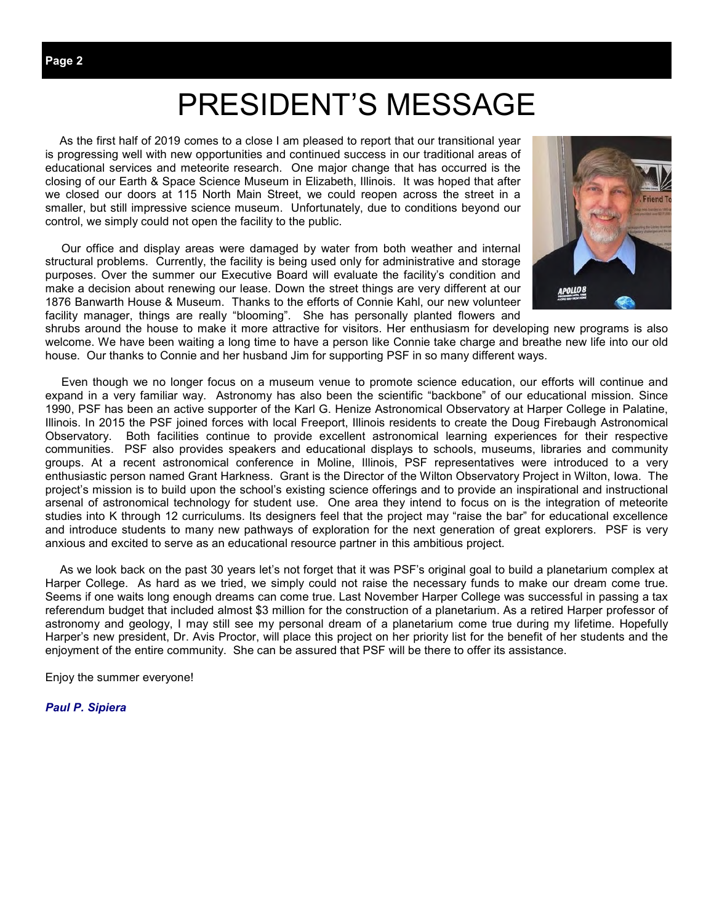## PRESIDENT'S MESSAGE

 As the first half of 2019 comes to a close I am pleased to report that our transitional year is progressing well with new opportunities and continued success in our traditional areas of educational services and meteorite research. One major change that has occurred is the closing of our Earth & Space Science Museum in Elizabeth, Illinois. It was hoped that after we closed our doors at 115 North Main Street, we could reopen across the street in a smaller, but still impressive science museum. Unfortunately, due to conditions beyond our control, we simply could not open the facility to the public.

 Our office and display areas were damaged by water from both weather and internal structural problems. Currently, the facility is being used only for administrative and storage purposes. Over the summer our Executive Board will evaluate the facility's condition and make a decision about renewing our lease. Down the street things are very different at our 1876 Banwarth House & Museum. Thanks to the efforts of Connie Kahl, our new volunteer facility manager, things are really "blooming". She has personally planted flowers and



shrubs around the house to make it more attractive for visitors. Her enthusiasm for developing new programs is also welcome. We have been waiting a long time to have a person like Connie take charge and breathe new life into our old house. Our thanks to Connie and her husband Jim for supporting PSF in so many different ways.

Even though we no longer focus on a museum venue to promote science education, our efforts will continue and expand in a very familiar way. Astronomy has also been the scientific "backbone" of our educational mission. Since 1990, PSF has been an active supporter of the Karl G. Henize Astronomical Observatory at Harper College in Palatine, Illinois. In 2015 the PSF joined forces with local Freeport, Illinois residents to create the Doug Firebaugh Astronomical Observatory. Both facilities continue to provide excellent astronomical learning experiences for their respective communities. PSF also provides speakers and educational displays to schools, museums, libraries and community groups. At a recent astronomical conference in Moline, Illinois, PSF representatives were introduced to a very enthusiastic person named Grant Harkness. Grant is the Director of the Wilton Observatory Project in Wilton, Iowa. The project's mission is to build upon the school's existing science offerings and to provide an inspirational and instructional arsenal of astronomical technology for student use. One area they intend to focus on is the integration of meteorite studies into K through 12 curriculums. Its designers feel that the project may "raise the bar" for educational excellence and introduce students to many new pathways of exploration for the next generation of great explorers. PSF is very anxious and excited to serve as an educational resource partner in this ambitious project.

 As we look back on the past 30 years let's not forget that it was PSF's original goal to build a planetarium complex at Harper College. As hard as we tried, we simply could not raise the necessary funds to make our dream come true. Seems if one waits long enough dreams can come true. Last November Harper College was successful in passing a tax referendum budget that included almost \$3 million for the construction of a planetarium. As a retired Harper professor of astronomy and geology, I may still see my personal dream of a planetarium come true during my lifetime. Hopefully Harper's new president, Dr. Avis Proctor, will place this project on her priority list for the benefit of her students and the enjoyment of the entire community. She can be assured that PSF will be there to offer its assistance.

Enjoy the summer everyone!

*Paul P. Sipiera*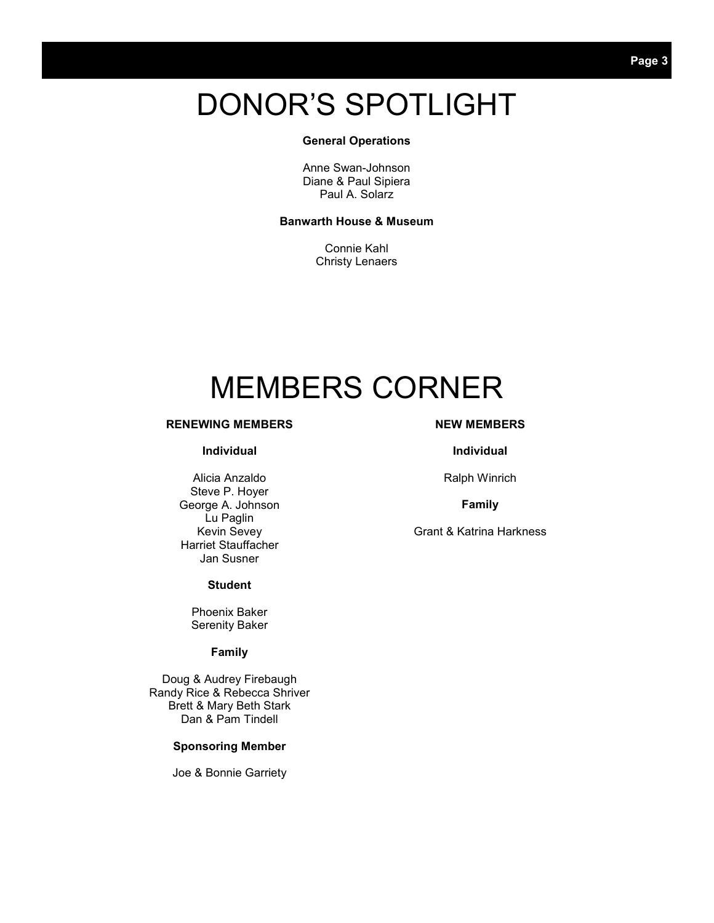## DONOR'S SPOTLIGHT

#### **General Operations**

Anne Swan-Johnson Diane & Paul Sipiera Paul A. Solarz

#### **Banwarth House & Museum**

Connie Kahl Christy Lenaers

## MEMBERS CORNER

#### **RENEWING MEMBERS**

#### **Individual**

Alicia Anzaldo Steve P. Hoyer George A. Johnson Lu Paglin Kevin Sevey Harriet Stauffacher Jan Susner

#### **Student**

Phoenix Baker Serenity Baker

#### **Family**

Doug & Audrey Firebaugh Randy Rice & Rebecca Shriver Brett & Mary Beth Stark Dan & Pam Tindell

#### **Sponsoring Member**

Joe & Bonnie Garriety

#### **NEW MEMBERS**

#### **Individual**

Ralph Winrich

#### **Family**

Grant & Katrina Harkness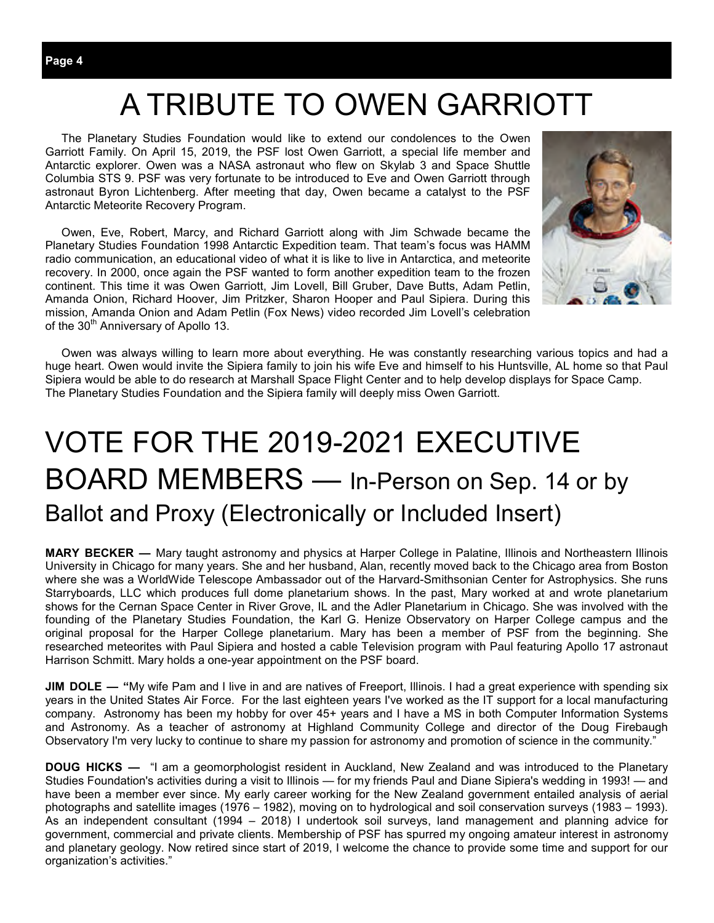The Planetary Studies Foundation would like to extend our condolences to the Owen Garriott Family. On April 15, 2019, the PSF lost Owen Garriott, a special life member and Antarctic explorer. Owen was a NASA astronaut who flew on Skylab 3 and Space Shuttle Columbia STS 9. PSF was very fortunate to be introduced to Eve and Owen Garriott through astronaut Byron Lichtenberg. After meeting that day, Owen became a catalyst to the PSF Antarctic Meteorite Recovery Program.

 Owen, Eve, Robert, Marcy, and Richard Garriott along with Jim Schwade became the Planetary Studies Foundation 1998 Antarctic Expedition team. That team's focus was HAMM radio communication, an educational video of what it is like to live in Antarctica, and meteorite recovery. In 2000, once again the PSF wanted to form another expedition team to the frozen continent. This time it was Owen Garriott, Jim Lovell, Bill Gruber, Dave Butts, Adam Petlin, Amanda Onion, Richard Hoover, Jim Pritzker, Sharon Hooper and Paul Sipiera. During this mission, Amanda Onion and Adam Petlin (Fox News) video recorded Jim Lovell's celebration of the 30<sup>th</sup> Anniversary of Apollo 13.



 Owen was always willing to learn more about everything. He was constantly researching various topics and had a huge heart. Owen would invite the Sipiera family to join his wife Eve and himself to his Huntsville, AL home so that Paul Sipiera would be able to do research at Marshall Space Flight Center and to help develop displays for Space Camp. The Planetary Studies Foundation and the Sipiera family will deeply miss Owen Garriott.

## VOTE FOR THE 2019-2021 EXECUTIVE BOARD MEMBERS — In-Person on Sep. 14 or by Ballot and Proxy (Electronically or Included Insert)

**MARY BECKER —** Mary taught astronomy and physics at Harper College in Palatine, Illinois and Northeastern Illinois University in Chicago for many years. She and her husband, Alan, recently moved back to the Chicago area from Boston where she was a WorldWide Telescope Ambassador out of the Harvard-Smithsonian Center for Astrophysics. She runs Starryboards, LLC which produces full dome planetarium shows. In the past, Mary worked at and wrote planetarium shows for the Cernan Space Center in River Grove, IL and the Adler Planetarium in Chicago. She was involved with the founding of the Planetary Studies Foundation, the Karl G. Henize Observatory on Harper College campus and the original proposal for the Harper College planetarium. Mary has been a member of PSF from the beginning. She researched meteorites with Paul Sipiera and hosted a cable Television program with Paul featuring Apollo 17 astronaut Harrison Schmitt. Mary holds a one-year appointment on the PSF board.

**JIM DOLE — "**My wife Pam and I live in and are natives of Freeport, Illinois. I had a great experience with spending six years in the United States Air Force. For the last eighteen years I've worked as the IT support for a local manufacturing company. Astronomy has been my hobby for over 45+ years and I have a MS in both Computer Information Systems and Astronomy. As a teacher of astronomy at Highland Community College and director of the Doug Firebaugh Observatory I'm very lucky to continue to share my passion for astronomy and promotion of science in the community."

**DOUG HICKS —** "I am a geomorphologist resident in Auckland, New Zealand and was introduced to the Planetary Studies Foundation's activities during a visit to Illinois — for my friends Paul and Diane Sipiera's wedding in 1993! — and have been a member ever since. My early career working for the New Zealand government entailed analysis of aerial photographs and satellite images (1976 – 1982), moving on to hydrological and soil conservation surveys (1983 – 1993). As an independent consultant (1994 – 2018) I undertook soil surveys, land management and planning advice for government, commercial and private clients. Membership of PSF has spurred my ongoing amateur interest in astronomy and planetary geology. Now retired since start of 2019, I welcome the chance to provide some time and support for our organization's activities."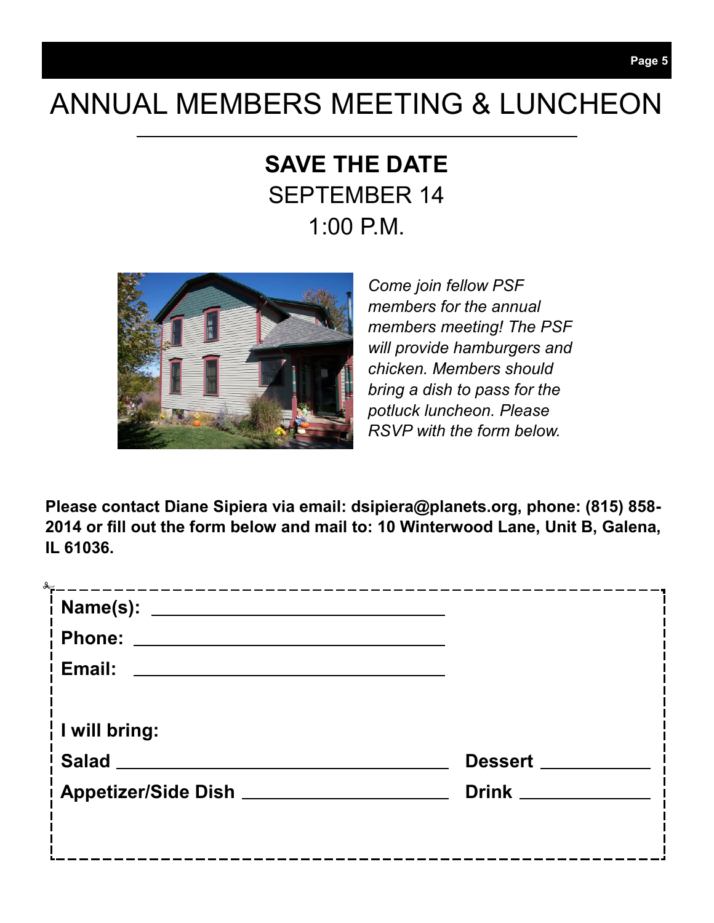## ANNUAL MEMBERS MEETING & LUNCHEON

## **SAVE THE DATE**  SEPTEMBER 14 1:00 P.M.



*Come join fellow PSF members for the annual members meeting! The PSF will provide hamburgers and chicken. Members should bring a dish to pass for the potluck luncheon. Please RSVP with the form below.* 

**Please contact Diane Sipiera via email: dsipiera@planets.org, phone: (815) 858- 2014 or fill out the form below and mail to: 10 Winterwood Lane, Unit B, Galena, IL 61036.** 

| <sup>i</sup> Email:<br><u> 1989 - Johann Stein, mars and de Branch and de Branch and de Branch and de Branch and de Branch and de Branch</u> |                    |
|----------------------------------------------------------------------------------------------------------------------------------------------|--------------------|
|                                                                                                                                              |                    |
| $\frac{1}{1}$ I will bring:                                                                                                                  |                    |
| Salad ______                                                                                                                                 | Dessert _____      |
| Appetizer/Side Dish _______________                                                                                                          | Drink <u>Drink</u> |
|                                                                                                                                              |                    |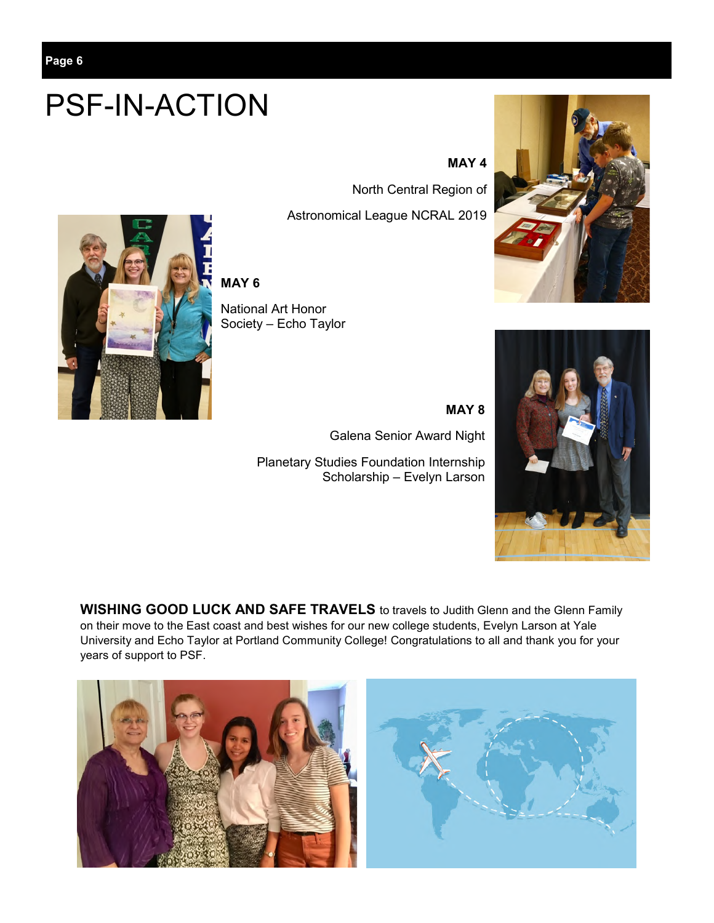# PSF-IN-ACTION

#### **MAY 4**

 North Central Region of Astronomical League NCRAL 2019



**MAY 6**

National Art Honor Society – Echo Taylor

> **MAY 8** Galena Senior Award Night

Planetary Studies Foundation Internship Scholarship – Evelyn Larson





**WISHING GOOD LUCK AND SAFE TRAVELS** to travels to Judith Glenn and the Glenn Family on their move to the East coast and best wishes for our new college students, Evelyn Larson at Yale University and Echo Taylor at Portland Community College! Congratulations to all and thank you for your years of support to PSF.

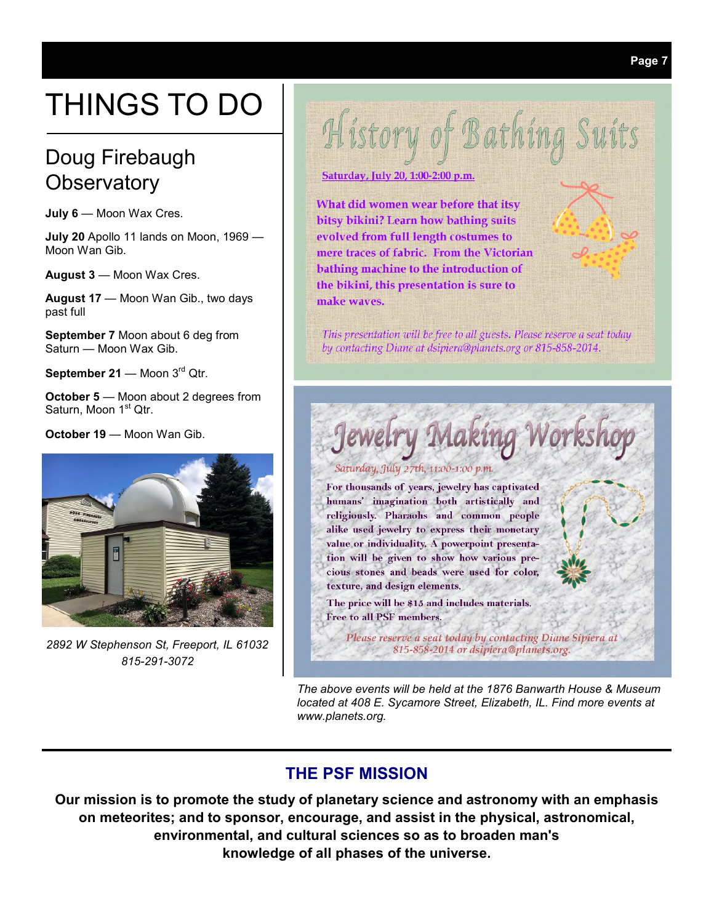# THINGS TO DO

## Doug Firebaugh **Observatory**

**July 6** — Moon Wax Cres.

**July 20** Apollo 11 lands on Moon, 1969 — Moon Wan Gib.

**August 3** — Moon Wax Cres.

**August 17** — Moon Wan Gib., two days past full

**September 7** Moon about 6 deg from Saturn — Moon Wax Gib.

September 21 - Moon 3<sup>rd</sup> Qtr.

**October 5** — Moon about 2 degrees from Saturn, Moon 1<sup>st</sup> Qtr.

**October 19 — Moon Wan Gib.** 



*2892 W Stephenson St, Freeport, IL 61032 815-291-3072* 



Saturday, July 20, 1:00-2:00 p.m.

What did women wear before that itsy bitsy bikini? Learn how bathing suits evolved from full length costumes to mere traces of fabric. From the Victorian bathing machine to the introduction of the bikini, this presentation is sure to make waves.

This presentation will be free to all guests. Please reserve a seat today by contacting Diane at dsipiera@planets.org or 815-858-2014.

Making Workshop

#### Saturday, July 27th, 11:00-1:00 p.m.

For thousands of years, jewelry has captivated humans' imagination both artistically and religiously. Pharaohs and common people alike used jewelry to express their monetary value or individuality. A powerpoint presentation will be given to show how various precious stones and beads were used for color, texture, and design elements.

The price will be \$15 and includes materials. Free to all PSF members.

Please reserve a seat today by contacting Diane Sipiera at 815-858-2014 or dsipiera@planets.org.

*The above events will be held at the 1876 Banwarth House & Museum located at 408 E. Sycamore Street, Elizabeth, IL. Find more events at www.planets.org.* 

### **THE PSF MISSION**

**Our mission is to promote the study of planetary science and astronomy with an emphasis on meteorites; and to sponsor, encourage, and assist in the physical, astronomical, environmental, and cultural sciences so as to broaden man's knowledge of all phases of the universe.**